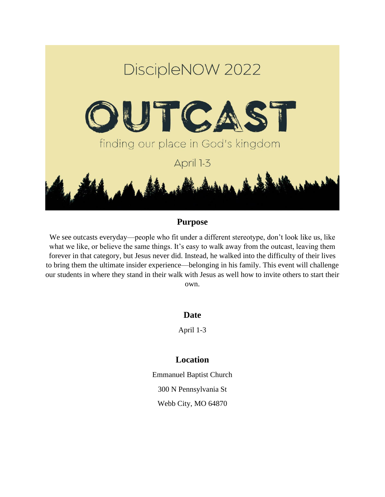

## **Purpose**

We see outcasts everyday—people who fit under a different stereotype, don't look like us, like what we like, or believe the same things. It's easy to walk away from the outcast, leaving them forever in that category, but Jesus never did. Instead, he walked into the difficulty of their lives to bring them the ultimate insider experience—belonging in his family. This event will challenge our students in where they stand in their walk with Jesus as well how to invite others to start their own.

**Date**

April 1-3

## **Location**

Emmanuel Baptist Church 300 N Pennsylvania St Webb City, MO 64870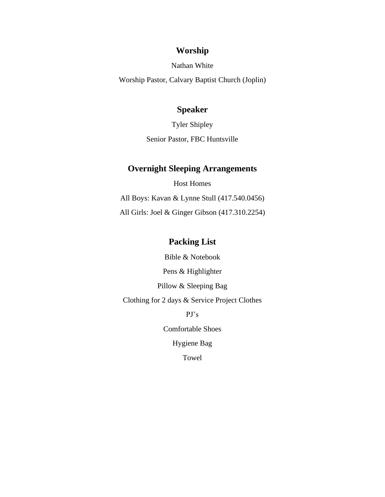### **Worship**

Nathan White

Worship Pastor, Calvary Baptist Church (Joplin)

### **Speaker**

Tyler Shipley Senior Pastor, FBC Huntsville

#### **Overnight Sleeping Arrangements**

Host Homes All Boys: Kavan & Lynne Stull (417.540.0456) All Girls: Joel & Ginger Gibson (417.310.2254)

## **Packing List**

Bible & Notebook

Pens & Highlighter

Pillow & Sleeping Bag

Clothing for 2 days & Service Project Clothes

PJ's

Comfortable Shoes

Hygiene Bag

Towel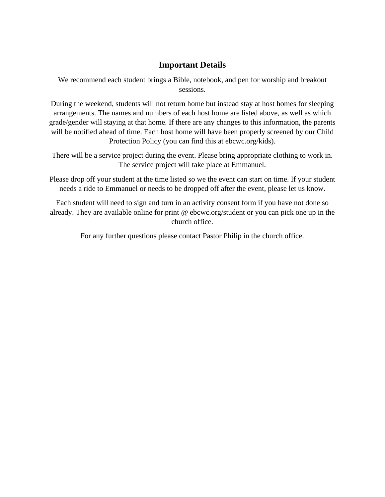### **Important Details**

We recommend each student brings a Bible, notebook, and pen for worship and breakout sessions.

During the weekend, students will not return home but instead stay at host homes for sleeping arrangements. The names and numbers of each host home are listed above, as well as which grade/gender will staying at that home. If there are any changes to this information, the parents will be notified ahead of time. Each host home will have been properly screened by our Child Protection Policy (you can find this at ebcwc.org/kids).

There will be a service project during the event. Please bring appropriate clothing to work in. The service project will take place at Emmanuel.

Please drop off your student at the time listed so we the event can start on time. If your student needs a ride to Emmanuel or needs to be dropped off after the event, please let us know.

Each student will need to sign and turn in an activity consent form if you have not done so already. They are available online for print @ ebcwc.org/student or you can pick one up in the church office.

For any further questions please contact Pastor Philip in the church office.